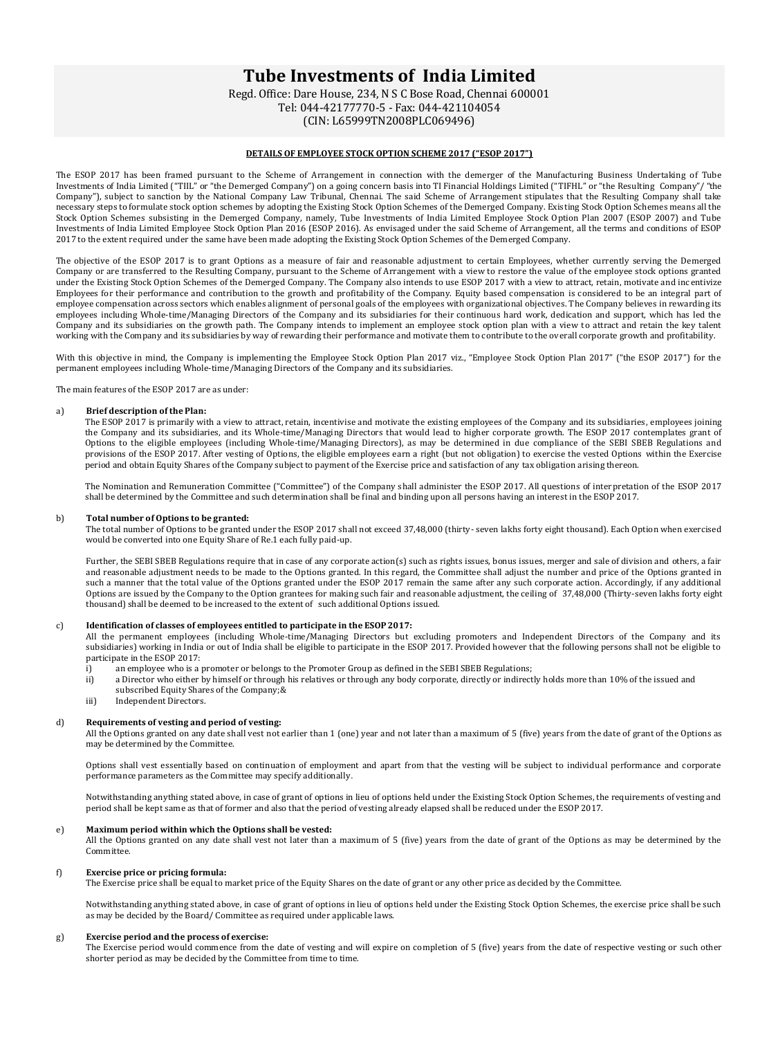# **Tube Investments of India Limited**

Regd. Office: Dare House, 234, N S C Bose Road, Chennai 600001 Tel: 044-42177770-5 - Fax: 044-421104054 (CIN: L65999TN2008PLC069496)

# **DETAILS OF EMPLOYEE STOCK OPTION SCHEME 2017 ("ESOP 2017")**

The ESOP 2017 has been framed pursuant to the Scheme of Arrangement in connection with the demerger of the Manufacturing Business Undertaking of Tube Investments of India Limited ("TIIL" or "the Demerged Company") on a going concern basis into TI Financial Holdings Limited ("TIFHL" or "the Resulting Company"/ "the Company"), subject to sanction by the National Company Law Tribunal, Chennai. The said Scheme of Arrangement stipulates that the Resulting Company shall take necessary steps to formulate stock option schemes by adopting the Existing Stock Option Schemes of the Demerged Company. Existing Stock Option Schemes means all the Stock Option Schemes subsisting in the Demerged Company, namely, Tube Investments of India Limited Employee Stock Option Plan 2007 (ESOP 2007) and Tube Investments of India Limited Employee Stock Option Plan 2016 (ESOP 2016). As envisaged under the said Scheme of Arrangement, all the terms and conditions of ESOP 2017 to the extent required under the same have been made adopting the Existing Stock Option Schemes of the Demerged Company.

The objective of the ESOP 2017 is to grant Options as a measure of fair and reasonable adjustment to certain Employees, whether currently serving the Demerged Company or are transferred to the Resulting Company, pursuant to the Scheme of Arrangement with a view to restore the value of the employee stock options granted under the Existing Stock Option Schemes of the Demerged Company. The Company also intends to use ESOP 2017 with a view to attract, retain, motivate and inc entivize Employees for their performance and contribution to the growth and profitability of the Company. Equity based compensation is considered to be an integral part of employee compensation across sectors which enables alignment of personal goals of the employees with organizational objectives. The Company believes in rewarding its employees including Whole-time/Managing Directors of the Company and its subsidiaries for their continuous hard work, dedication and support, which has led the Company and its subsidiaries on the growth path. The Company intends to implement an employee stock option plan with a view to attract and retain the key talent working with the Company and its subsidiaries by way of rewarding their performance and motivate them to contribute to the overall corporate growth and profitability.

With this objective in mind, the Company is implementing the Employee Stock Option Plan 2017 viz., "Employee Stock Option Plan 2017" ("the ESOP 2017") for the permanent employees including Whole-time/Managing Directors of the Company and its subsidiaries.

The main features of the ESOP 2017 are as under:

### a) **Brief description of the Plan:**

The ESOP 2017 is primarily with a view to attract, retain, incentivise and motivate the existing employees of the Company and its subsidiaries, employees joining the Company and its subsidiaries, and its Whole-time/Managing Directors that would lead to higher corporate growth. The ESOP 2017 contemplates grant of Options to the eligible employees (including Whole-time/Managing Directors), as may be determined in due compliance of the SEBI SBEB Regulations and provisions of the ESOP 2017. After vesting of Options, the eligible employees earn a right (but not obligation) to exercise the vested Options within the Exercise period and obtain Equity Shares of the Company subject to payment of the Exercise price and satisfaction of any tax obligation arising thereon.

The Nomination and Remuneration Committee ("Committee") of the Company shall administer the ESOP 2017. All questions of interpretation of the ESOP 2017 shall be determined by the Committee and such determination shall be final and binding upon all persons having an interest in the ESOP 2017.

## b) **Total number of Options to be granted:**

The total number of Options to be granted under the ESOP 2017 shall not exceed 37,48,000 (thirty- seven lakhs forty eight thousand). Each Option when exercised would be converted into one Equity Share of Re.1 each fully paid-up.

Further, the SEBI SBEB Regulations require that in case of any corporate action(s) such as rights issues, bonus issues, merger and sale of division and others, a fair and reasonable adjustment needs to be made to the Options granted. In this regard, the Committee shall adjust the number and price of the Options granted in such a manner that the total value of the Options granted under the ESOP 2017 remain the same after any such corporate action. Accordingly, if any additional Options are issued by the Company to the Option grantees for making such fair and reasonable adjustment, the ceiling of 37,48,000 (Thirty-seven lakhs forty eight thousand) shall be deemed to be increased to the extent of such additional Options issued.

# c) **Identification of classes of employees entitled to participate in the ESOP 2017:**

All the permanent employees (including Whole-time/Managing Directors but excluding promoters and Independent Directors of the Company and its subsidiaries) working in India or out of India shall be eligible to participate in the ESOP 2017. Provided however that the following persons shall not be eligible to participate in the ESOP 2017:<br>i) an employee who is a

- 
- i) an employee who is a promoter or belongs to the Promoter Group as defined in the SEBI SBEB Regulations;<br>ii) a Director who either by himself or through his relatives or through any body corporate, directly or indirect a Director who either by himself or through his relatives or through any body corporate, directly or indirectly holds more than 10% of the issued and subscribed Equity Shares of the Company: &
- iii) Independent Directors.

#### d) **Requirements of vesting and period of vesting:**

All the Options granted on any date shall vest not earlier than 1 (one) year and not later than a maximum of 5 (five) years from the date of grant of the Options as may be determined by the Committee.

Options shall vest essentially based on continuation of employment and apart from that the vesting will be subject to individual performance and corporate performance parameters as the Committee may specify additionally.

Notwithstanding anything stated above, in case of grant of options in lieu of options held under the Existing Stock Option Schemes, the requirements of vesting and period shall be kept same as that of former and also that the period of vesting already elapsed shall be reduced under the ESOP 2017.

#### e) **Maximum period within which the Options shall be vested:**

All the Options granted on any date shall vest not later than a maximum of 5 (five) years from the date of grant of the Options as may be determined by the Committee.

#### f) **Exercise price or pricing formula:**

The Exercise price shall be equal to market price of the Equity Shares on the date of grant or any other price as decided by the Committee.

Notwithstanding anything stated above, in case of grant of options in lieu of options held under the Existing Stock Option Schemes, the exercise price shall be such as may be decided by the Board/ Committee as required under applicable laws.

#### g) **Exercise period and the process of exercise:**

The Exercise period would commence from the date of vesting and will expire on completion of 5 (five) years from the date of respective vesting or such other shorter period as may be decided by the Committee from time to time.